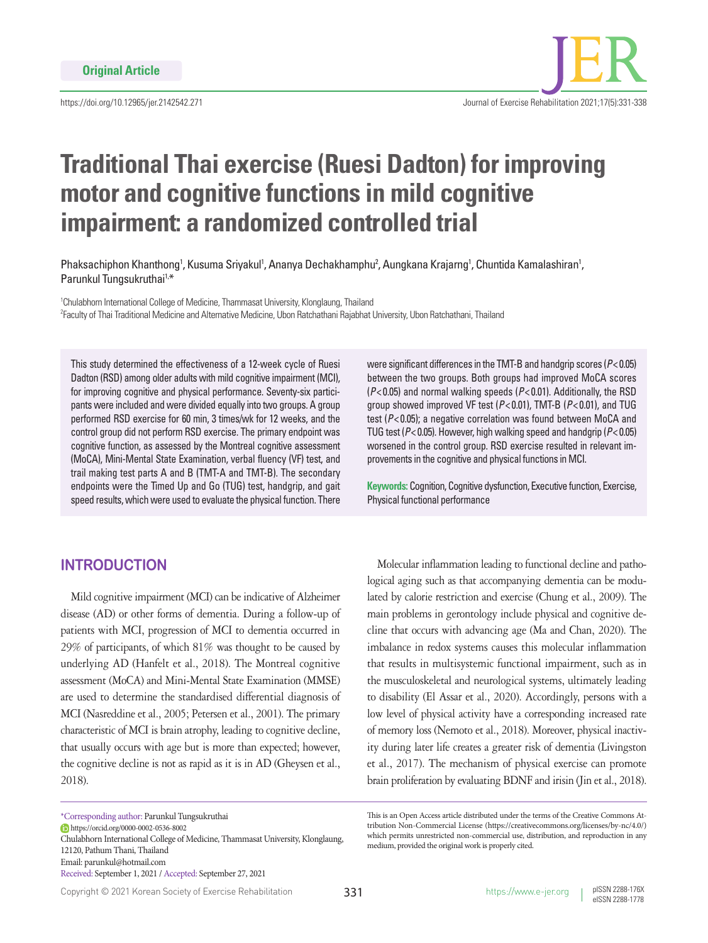

# **Traditional Thai exercise (Ruesi Dadton) for improving motor and cognitive functions in mild cognitive impairment: a randomized controlled trial**

Phaksachiphon Khanthong<sup>1</sup>, Kusuma Sriyakul<sup>1</sup>, Ananya Dechakhamphu<sup>2</sup>, Aungkana Krajarng<sup>1</sup>, Chuntida Kamalashiran<sup>1</sup>, Parunkul Tungsukruthai<sup>1,\*</sup>

<sup>1</sup>Chulabhorn International College of Medicine, Thammasat University, Klonglaung, Thailand 2 Faculty of Thai Traditional Medicine and Alternative Medicine, Ubon Ratchathani Rajabhat University, Ubon Ratchathani, Thailand

This study determined the effectiveness of a 12-week cycle of Ruesi Dadton (RSD) among older adults with mild cognitive impairment (MCI), for improving cognitive and physical performance. Seventy-six participants were included and were divided equally into two groups. A group performed RSD exercise for 60 min, 3 times/wk for 12 weeks, and the control group did not perform RSD exercise. The primary endpoint was cognitive function, as assessed by the Montreal cognitive assessment (MoCA), Mini-Mental State Examination, verbal fluency (VF) test, and trail making test parts A and B (TMT-A and TMT-B). The secondary endpoints were the Timed Up and Go (TUG) test, handgrip, and gait speed results, which were used to evaluate the physical function. There

## **INTRODUCTION**

Mild cognitive impairment (MCI) can be indicative of Alzheimer disease (AD) or other forms of dementia. During a follow-up of patients with MCI, progression of MCI to dementia occurred in 29% of participants, of which 81% was thought to be caused by underlying AD (Hanfelt et al., 2018). The Montreal cognitive assessment (MoCA) and Mini-Mental State Examination (MMSE) are used to determine the standardised differential diagnosis of MCI (Nasreddine et al., 2005; Petersen et al., 2001). The primary characteristic of MCI is brain atrophy, leading to cognitive decline, that usually occurs with age but is more than expected; however, the cognitive decline is not as rapid as it is in AD (Gheysen et al., 2018).

\*Corresponding author: Parunkul Tungsukruthai

https://orcid.org/0000-0002-0536-8002

Chulabhorn International College of Medicine, Thammasat University, Klonglaung, 12120, Pathum Thani, Thailand Email: parunkul@hotmail.com Received: September 1, 2021 / Accepted: September 27, 2021

were significant differences in the TMT-B and handgrip scores (*P*< 0.05) between the two groups. Both groups had improved MoCA scores (*P*< 0.05) and normal walking speeds (*P*< 0.01). Additionally, the RSD group showed improved VF test (*P*< 0.01), TMT-B (*P*< 0.01), and TUG test (*P*< 0.05); a negative correlation was found between MoCA and TUG test (*P*< 0.05). However, high walking speed and handgrip (*P*< 0.05) worsened in the control group. RSD exercise resulted in relevant improvements in the cognitive and physical functions in MCI.

**Keywords:** Cognition, Cognitive dysfunction, Executive function, Exercise, Physical functional performance

Molecular inflammation leading to functional decline and pathological aging such as that accompanying dementia can be modulated by calorie restriction and exercise (Chung et al., 2009). The main problems in gerontology include physical and cognitive decline that occurs with advancing age (Ma and Chan, 2020). The imbalance in redox systems causes this molecular inflammation that results in multisystemic functional impairment, such as in the musculoskeletal and neurological systems, ultimately leading to disability (El Assar et al., 2020). Accordingly, persons with a low level of physical activity have a corresponding increased rate of memory loss (Nemoto et al., 2018). Moreover, physical inactivity during later life creates a greater risk of dementia (Livingston et al., 2017). The mechanism of physical exercise can promote brain proliferation by evaluating BDNF and irisin (Jin et al., 2018).

This is an Open Access article distributed under the terms of the Creative Commons Attribution Non-Commercial License (https://creativecommons.org/licenses/by-nc/4.0/) which permits unrestricted non-commercial use, distribution, and reproduction in any medium, provided the original work is properly cited.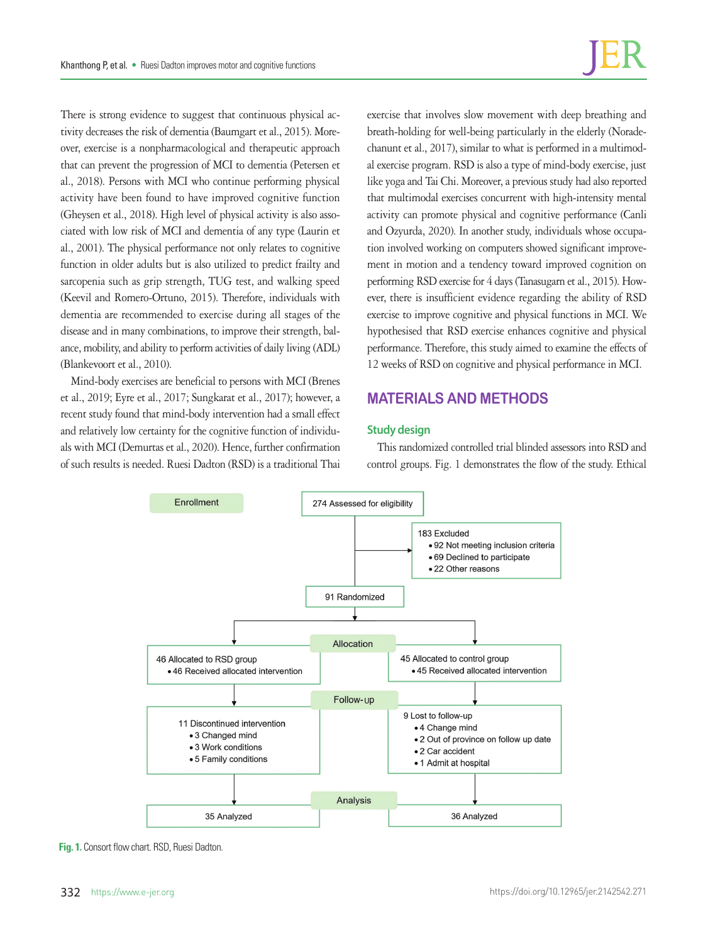There is strong evidence to suggest that continuous physical activity decreases the risk of dementia (Baumgart et al., 2015). Moreover, exercise is a nonpharmacological and therapeutic approach that can prevent the progression of MCI to dementia (Petersen et al., 2018). Persons with MCI who continue performing physical activity have been found to have improved cognitive function (Gheysen et al., 2018). High level of physical activity is also associated with low risk of MCI and dementia of any type (Laurin et al., 2001). The physical performance not only relates to cognitive function in older adults but is also utilized to predict frailty and sarcopenia such as grip strength, TUG test, and walking speed (Keevil and Romero-Ortuno, 2015). Therefore, individuals with dementia are recommended to exercise during all stages of the disease and in many combinations, to improve their strength, balance, mobility, and ability to perform activities of daily living (ADL) (Blankevoort et al., 2010).

Mind-body exercises are beneficial to persons with MCI (Brenes et al., 2019; Eyre et al., 2017; Sungkarat et al., 2017); however, a recent study found that mind-body intervention had a small effect and relatively low certainty for the cognitive function of individuals with MCI (Demurtas et al., 2020). Hence, further confirmation of such results is needed. Ruesi Dadton (RSD) is a traditional Thai exercise that involves slow movement with deep breathing and breath-holding for well-being particularly in the elderly (Noradechanunt et al., 2017), similar to what is performed in a multimodal exercise program. RSD is also a type of mind-body exercise, just like yoga and Tai Chi. Moreover, a previous study had also reported that multimodal exercises concurrent with high-intensity mental activity can promote physical and cognitive performance (Canli and Ozyurda, 2020). In another study, individuals whose occupation involved working on computers showed significant improvement in motion and a tendency toward improved cognition on performing RSD exercise for 4 days (Tanasugarn et al., 2015). However, there is insufficient evidence regarding the ability of RSD exercise to improve cognitive and physical functions in MCI. We hypothesised that RSD exercise enhances cognitive and physical performance. Therefore, this study aimed to examine the effects of 12 weeks of RSD on cognitive and physical performance in MCI.

# **MATERIALS AND METHODS**

### **Study design**

This randomized controlled trial blinded assessors into RSD and control groups. Fig. 1 demonstrates the flow of the study. Ethical



**Fig. 1.** Consort flow chart. RSD, Ruesi Dadton.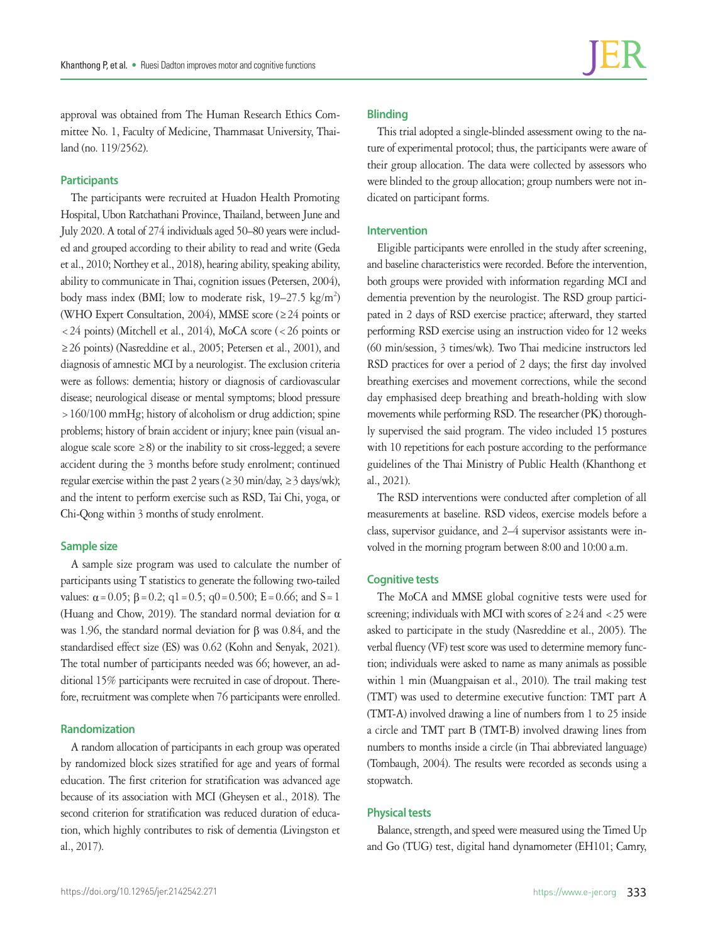approval was obtained from The Human Research Ethics Committee No. 1, Faculty of Medicine, Thammasat University, Thailand (no. 119/2562).

#### **Participants**

The participants were recruited at Huadon Health Promoting Hospital, Ubon Ratchathani Province, Thailand, between June and July 2020. A total of 274 individuals aged 50–80 years were included and grouped according to their ability to read and write (Geda et al., 2010; Northey et al., 2018), hearing ability, speaking ability, ability to communicate in Thai, cognition issues (Petersen, 2004), body mass index (BMI; low to moderate risk, 19-27.5 kg/m<sup>2</sup>) (WHO Expert Consultation, 2004), MMSE score (≥24 points or <24 points) (Mitchell et al., 2014), MoCA score (<26 points or ≥26 points) (Nasreddine et al., 2005; Petersen et al., 2001), and diagnosis of amnestic MCI by a neurologist. The exclusion criteria were as follows: dementia; history or diagnosis of cardiovascular disease; neurological disease or mental symptoms; blood pressure >160/100 mmHg; history of alcoholism or drug addiction; spine problems; history of brain accident or injury; knee pain (visual analogue scale score  $\geq$ 8) or the inability to sit cross-legged; a severe accident during the 3 months before study enrolment; continued regular exercise within the past 2 years ( $\geq$  30 min/day,  $\geq$  3 days/wk); and the intent to perform exercise such as RSD, Tai Chi, yoga, or Chi-Qong within 3 months of study enrolment.

#### **Sample size**

A sample size program was used to calculate the number of participants using T statistics to generate the following two-tailed values:  $\alpha = 0.05$ ;  $\beta = 0.2$ ;  $q1 = 0.5$ ;  $q0 = 0.500$ ;  $E = 0.66$ ; and  $S = 1$ (Huang and Chow, 2019). The standard normal deviation for α was 1.96, the standard normal deviation for β was 0.84, and the standardised effect size (ES) was 0.62 (Kohn and Senyak, 2021). The total number of participants needed was 66; however, an additional 15% participants were recruited in case of dropout. Therefore, recruitment was complete when 76 participants were enrolled.

#### **Randomization**

A random allocation of participants in each group was operated by randomized block sizes stratified for age and years of formal education. The first criterion for stratification was advanced age because of its association with MCI (Gheysen et al., 2018). The second criterion for stratification was reduced duration of education, which highly contributes to risk of dementia (Livingston et al., 2017).

## **Blinding**

This trial adopted a single-blinded assessment owing to the nature of experimental protocol; thus, the participants were aware of their group allocation. The data were collected by assessors who were blinded to the group allocation; group numbers were not indicated on participant forms.

#### **Intervention**

Eligible participants were enrolled in the study after screening, and baseline characteristics were recorded. Before the intervention, both groups were provided with information regarding MCI and dementia prevention by the neurologist. The RSD group participated in 2 days of RSD exercise practice; afterward, they started performing RSD exercise using an instruction video for 12 weeks (60 min/session, 3 times/wk). Two Thai medicine instructors led RSD practices for over a period of 2 days; the first day involved breathing exercises and movement corrections, while the second day emphasised deep breathing and breath-holding with slow movements while performing RSD. The researcher (PK) thoroughly supervised the said program. The video included 15 postures with 10 repetitions for each posture according to the performance guidelines of the Thai Ministry of Public Health (Khanthong et al., 2021).

The RSD interventions were conducted after completion of all measurements at baseline. RSD videos, exercise models before a class, supervisor guidance, and 2–4 supervisor assistants were involved in the morning program between 8:00 and 10:00 a.m.

#### **Cognitive tests**

The MoCA and MMSE global cognitive tests were used for screening; individuals with MCI with scores of  $\geq 24$  and  $\lt 25$  were asked to participate in the study (Nasreddine et al., 2005). The verbal fluency (VF) test score was used to determine memory function; individuals were asked to name as many animals as possible within 1 min (Muangpaisan et al., 2010). The trail making test (TMT) was used to determine executive function: TMT part A (TMT-A) involved drawing a line of numbers from 1 to 25 inside a circle and TMT part B (TMT-B) involved drawing lines from numbers to months inside a circle (in Thai abbreviated language) (Tombaugh, 2004). The results were recorded as seconds using a stopwatch.

#### **Physical tests**

Balance, strength, and speed were measured using the Timed Up and Go (TUG) test, digital hand dynamometer (EH101; Camry,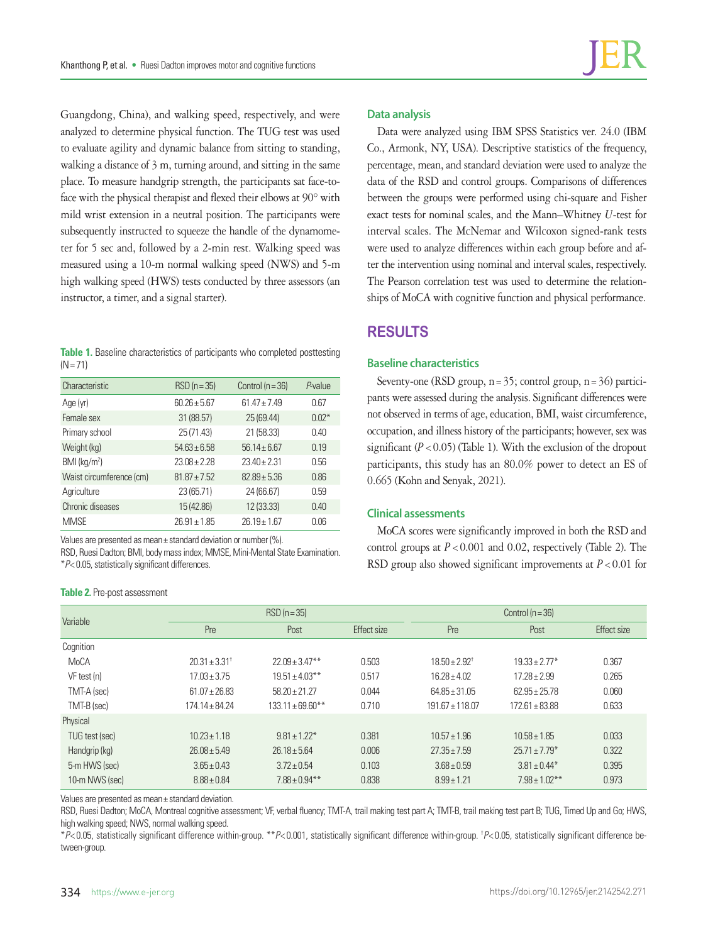Guangdong, China), and walking speed, respectively, and were analyzed to determine physical function. The TUG test was used to evaluate agility and dynamic balance from sitting to standing, walking a distance of 3 m, turning around, and sitting in the same place. To measure handgrip strength, the participants sat face-toface with the physical therapist and flexed their elbows at 90° with mild wrist extension in a neutral position. The participants were subsequently instructed to squeeze the handle of the dynamometer for 5 sec and, followed by a 2-min rest. Walking speed was measured using a 10-m normal walking speed (NWS) and 5-m high walking speed (HWS) tests conducted by three assessors (an instructor, a timer, and a signal starter).

**Table 1.** Baseline characteristics of participants who completed posttesting  $(N = 71)$ 

| Characteristic           | $RSD(n=35)$      | Control ( $n = 36$ ) | $P$ -value |
|--------------------------|------------------|----------------------|------------|
| Age (yr)                 | $60.26 + 5.67$   | $61.47 \pm 7.49$     | 0.67       |
| Female sex               | 31 (88.57)       | 25 (69.44)           | $0.02*$    |
| Primary school           | 25 (71.43)       | 21 (58.33)           | 0.40       |
| Weight (kg)              | $54.63 \pm 6.58$ | $56.14 + 6.67$       | 0.19       |
| BMI (kg/m <sup>2</sup> ) | $23.08 + 2.28$   | $23.40 \pm 2.31$     | 0.56       |
| Waist circumference (cm) | $8187 + 752$     | $82.89 + 5.36$       | 0.86       |
| Agriculture              | 23 (65.71)       | 24 (66.67)           | 0.59       |
| Chronic diseases         | 15 (42.86)       | 12 (33.33)           | 0.40       |
| <b>MMSE</b>              | $26.91 \pm 1.85$ | $26.19 \pm 1.67$     | 0.06       |

Values are presented as mean± standard deviation or number (%).

RSD, Ruesi Dadton; BMI, body mass index; MMSE, Mini-Mental State Examination. \**P*< 0.05, statistically significant differences.

#### **Table 2.** Pre-post assessment

#### **Data analysis**

Data were analyzed using IBM SPSS Statistics ver. 24.0 (IBM Co., Armonk, NY, USA). Descriptive statistics of the frequency, percentage, mean, and standard deviation were used to analyze the data of the RSD and control groups. Comparisons of differences between the groups were performed using chi-square and Fisher exact tests for nominal scales, and the Mann–Whitney *U*-test for interval scales. The McNemar and Wilcoxon signed-rank tests were used to analyze differences within each group before and after the intervention using nominal and interval scales, respectively. The Pearson correlation test was used to determine the relationships of MoCA with cognitive function and physical performance.

## **RESULTS**

#### **Baseline characteristics**

Seventy-one (RSD group,  $n=35$ ; control group,  $n=36$ ) participants were assessed during the analysis. Significant differences were not observed in terms of age, education, BMI, waist circumference, occupation, and illness history of the participants; however, sex was significant  $(P < 0.05)$  (Table 1). With the exclusion of the dropout participants, this study has an 80.0% power to detect an ES of 0.665 (Kohn and Senyak, 2021).

#### **Clinical assessments**

MoCA scores were significantly improved in both the RSD and control groups at  $P < 0.001$  and 0.02, respectively (Table 2). The RSD group also showed significant improvements at *P*<0.01 for

| Variable       | $RSD(n=35)$                |                       |             | Control $(n = 36)$       |                    |             |
|----------------|----------------------------|-----------------------|-------------|--------------------------|--------------------|-------------|
|                | Pre                        | Post                  | Effect size | Pre                      | Post               | Effect size |
| Cognition      |                            |                       |             |                          |                    |             |
| MoCA           | $20.31 \pm 3.31^{\dagger}$ | $22.09 \pm 3.47***$   | 0.503       | $18.50 + 2.92^{\dagger}$ | $19.33 + 2.77*$    | 0.367       |
| VF test (n)    | $17.03 \pm 3.75$           | $19.51 \pm 4.03$ **   | 0.517       | $16.28 + 4.02$           | $17.28 \pm 2.99$   | 0.265       |
| TMT-A (sec)    | $61.07 + 26.83$            | $58.20 + 21.27$       | 0.044       | $64.85 \pm 31.05$        | $62.95 \pm 25.78$  | 0.060       |
| TMT-B (sec)    | $174.14 + 84.24$           | $133.11 \pm 69.60$ ** | 0.710       | $191.67 \pm 118.07$      | $172.61 + 83.88$   | 0.633       |
| Physical       |                            |                       |             |                          |                    |             |
| TUG test (sec) | $10.23 + 1.18$             | $9.81 \pm 1.22$ *     | 0.381       | $10.57 \pm 1.96$         | $10.58 \pm 1.85$   | 0.033       |
| Handgrip (kg)  | $26.08 + 5.49$             | $26.18 \pm 5.64$      | 0.006       | $27.35 + 7.59$           | $25.71 \pm 7.79$ * | 0.322       |
| 5-m HWS (sec)  | $3.65 \pm 0.43$            | $3.72 \pm 0.54$       | 0.103       | $3.68 \pm 0.59$          | $3.81 \pm 0.44*$   | 0.395       |
| 10-m NWS (sec) | $8.88 \pm 0.84$            | $7.88 \pm 0.94***$    | 0.838       | $8.99 \pm 1.21$          | $7.98 \pm 1.02***$ | 0.973       |

Values are presented as mean± standard deviation.

RSD, Ruesi Dadton; MoCA, Montreal cognitive assessment; VF, verbal fluency; TMT-A, trail making test part A; TMT-B, trail making test part B; TUG, Timed Up and Go; HWS, high walking speed; NWS, normal walking speed.

\**P*< 0.05, statistically significant difference within-group. \*\**P*< 0.001, statistically significant difference within-group. † *P*< 0.05, statistically significant difference between-group.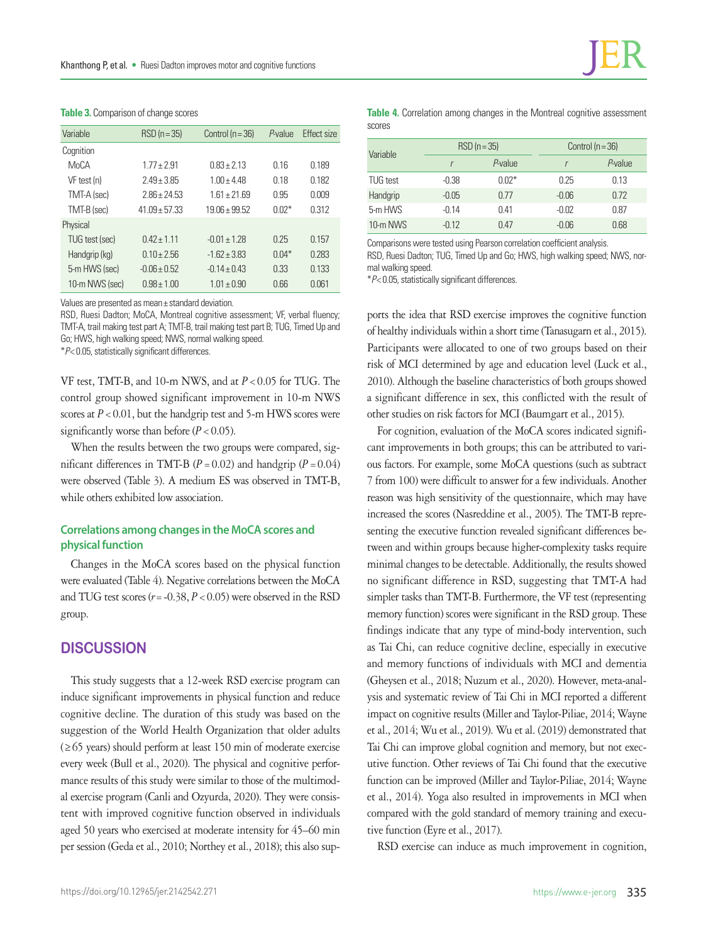| $RSD(n=35)$       | Control ( $n = 36$ ) | P-value | <b>Effect size</b> |
|-------------------|----------------------|---------|--------------------|
|                   |                      |         |                    |
| $1.77 + 2.91$     | $0.83 + 2.13$        | 0.16    | 0.189              |
| $2.49 + 3.85$     | $1.00 + 4.48$        | 018     | 0.182              |
| $2.86 \pm 24.53$  | $1.61 \pm 21.69$     | 0.95    | 0.009              |
| $41.09 \pm 57.33$ | $19.06 + 99.52$      | $0.02*$ | 0.312              |
|                   |                      |         |                    |
| $042 + 111$       | $-0.01 + 1.28$       | 0.25    | 0.157              |
| $0.10 + 2.56$     | $-1.62 + 3.83$       | $0.04*$ | 0.283              |
| $-0.06 + 0.52$    | $-0.14 \pm 0.43$     | 0.33    | 0.133              |
| $0.98 + 1.00$     | $1.01 \pm 0.90$      | 0.66    | 0.061              |
|                   |                      |         |                    |

Values are presented as mean± standard deviation.

RSD, Ruesi Dadton; MoCA, Montreal cognitive assessment; VF, verbal fluency; TMT-A, trail making test part A; TMT-B, trail making test part B; TUG, Timed Up and Go; HWS, high walking speed; NWS, normal walking speed. \**P*< 0.05, statistically significant differences.

VF test, TMT-B, and 10-m NWS, and at *P*<0.05 for TUG. The control group showed significant improvement in 10-m NWS scores at  $P < 0.01$ , but the handgrip test and 5-m HWS scores were significantly worse than before  $(P < 0.05)$ .

When the results between the two groups were compared, significant differences in TMT-B  $(P = 0.02)$  and handgrip  $(P = 0.04)$ were observed (Table 3). A medium ES was observed in TMT-B, while others exhibited low association.

## **Correlations among changes in the MoCA scores and physical function**

Changes in the MoCA scores based on the physical function were evaluated (Table 4). Negative correlations between the MoCA and TUG test scores (*r*=-0.38, *P*<0.05) were observed in the RSD group.

## **DISCUSSION**

This study suggests that a 12-week RSD exercise program can induce significant improvements in physical function and reduce cognitive decline. The duration of this study was based on the suggestion of the World Health Organization that older adults (≥65 years) should perform at least 150 min of moderate exercise every week (Bull et al., 2020). The physical and cognitive performance results of this study were similar to those of the multimodal exercise program (Canli and Ozyurda, 2020). They were consistent with improved cognitive function observed in individuals aged 50 years who exercised at moderate intensity for 45–60 min per session (Geda et al., 2010; Northey et al., 2018); this also sup**Table 4.** Correlation among changes in the Montreal cognitive assessment scores

| Variable | $RSD(n=35)$ |         | Control $(n = 36)$ |            |
|----------|-------------|---------|--------------------|------------|
|          |             | P-value |                    | $P$ -value |
| TUG test | $-0.38$     | $0.02*$ | 0.25               | 0.13       |
| Handgrip | $-0.05$     | 0.77    | $-0.06$            | 0.72       |
| 5-m HWS  | $-0.14$     | 0.41    | $-0.02$            | 0.87       |
| 10-m NWS | $-0.12$     | 0.47    | $-0.06$            | 0.68       |

Comparisons were tested using Pearson correlation coefficient analysis. RSD, Ruesi Dadton; TUG, Timed Up and Go; HWS, high walking speed; NWS, normal walking speed.

\**P*< 0.05, statistically significant differences.

ports the idea that RSD exercise improves the cognitive function of healthy individuals within a short time (Tanasugarn et al., 2015). Participants were allocated to one of two groups based on their risk of MCI determined by age and education level (Luck et al., 2010). Although the baseline characteristics of both groups showed a significant difference in sex, this conflicted with the result of other studies on risk factors for MCI (Baumgart et al., 2015).

For cognition, evaluation of the MoCA scores indicated significant improvements in both groups; this can be attributed to various factors. For example, some MoCA questions (such as subtract 7 from 100) were difficult to answer for a few individuals. Another reason was high sensitivity of the questionnaire, which may have increased the scores (Nasreddine et al., 2005). The TMT-B representing the executive function revealed significant differences between and within groups because higher-complexity tasks require minimal changes to be detectable. Additionally, the results showed no significant difference in RSD, suggesting that TMT-A had simpler tasks than TMT-B. Furthermore, the VF test (representing memory function) scores were significant in the RSD group. These findings indicate that any type of mind-body intervention, such as Tai Chi, can reduce cognitive decline, especially in executive and memory functions of individuals with MCI and dementia (Gheysen et al., 2018; Nuzum et al., 2020). However, meta-analysis and systematic review of Tai Chi in MCI reported a different impact on cognitive results (Miller and Taylor-Piliae, 2014; Wayne et al., 2014; Wu et al., 2019). Wu et al. (2019) demonstrated that Tai Chi can improve global cognition and memory, but not executive function. Other reviews of Tai Chi found that the executive function can be improved (Miller and Taylor-Piliae, 2014; Wayne et al., 2014). Yoga also resulted in improvements in MCI when compared with the gold standard of memory training and executive function (Eyre et al., 2017).

RSD exercise can induce as much improvement in cognition,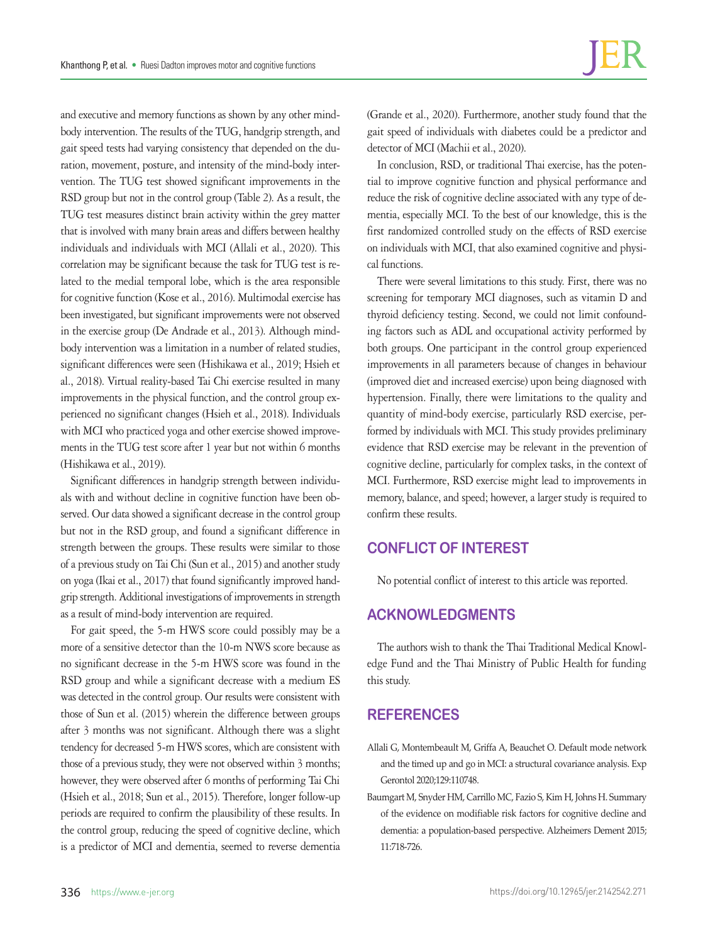and executive and memory functions as shown by any other mindbody intervention. The results of the TUG, handgrip strength, and gait speed tests had varying consistency that depended on the duration, movement, posture, and intensity of the mind-body intervention. The TUG test showed significant improvements in the RSD group but not in the control group (Table 2). As a result, the TUG test measures distinct brain activity within the grey matter that is involved with many brain areas and differs between healthy individuals and individuals with MCI (Allali et al., 2020). This correlation may be significant because the task for TUG test is related to the medial temporal lobe, which is the area responsible for cognitive function (Kose et al., 2016). Multimodal exercise has been investigated, but significant improvements were not observed in the exercise group (De Andrade et al., 2013). Although mindbody intervention was a limitation in a number of related studies, significant differences were seen (Hishikawa et al., 2019; Hsieh et al., 2018). Virtual reality-based Tai Chi exercise resulted in many improvements in the physical function, and the control group experienced no significant changes (Hsieh et al., 2018). Individuals with MCI who practiced yoga and other exercise showed improvements in the TUG test score after 1 year but not within 6 months (Hishikawa et al., 2019).

Significant differences in handgrip strength between individuals with and without decline in cognitive function have been observed. Our data showed a significant decrease in the control group but not in the RSD group, and found a significant difference in strength between the groups. These results were similar to those of a previous study on Tai Chi (Sun et al., 2015) and another study on yoga (Ikai et al., 2017) that found significantly improved handgrip strength. Additional investigations of improvements in strength as a result of mind-body intervention are required.

For gait speed, the 5-m HWS score could possibly may be a more of a sensitive detector than the 10-m NWS score because as no significant decrease in the 5-m HWS score was found in the RSD group and while a significant decrease with a medium ES was detected in the control group. Our results were consistent with those of Sun et al. (2015) wherein the difference between groups after 3 months was not significant. Although there was a slight tendency for decreased 5-m HWS scores, which are consistent with those of a previous study, they were not observed within 3 months; however, they were observed after 6 months of performing Tai Chi (Hsieh et al., 2018; Sun et al., 2015). Therefore, longer follow-up periods are required to confirm the plausibility of these results. In the control group, reducing the speed of cognitive decline, which is a predictor of MCI and dementia, seemed to reverse dementia

(Grande et al., 2020). Furthermore, another study found that the gait speed of individuals with diabetes could be a predictor and detector of MCI (Machii et al., 2020).

In conclusion, RSD, or traditional Thai exercise, has the potential to improve cognitive function and physical performance and reduce the risk of cognitive decline associated with any type of dementia, especially MCI. To the best of our knowledge, this is the first randomized controlled study on the effects of RSD exercise on individuals with MCI, that also examined cognitive and physical functions.

There were several limitations to this study. First, there was no screening for temporary MCI diagnoses, such as vitamin D and thyroid deficiency testing. Second, we could not limit confounding factors such as ADL and occupational activity performed by both groups. One participant in the control group experienced improvements in all parameters because of changes in behaviour (improved diet and increased exercise) upon being diagnosed with hypertension. Finally, there were limitations to the quality and quantity of mind-body exercise, particularly RSD exercise, performed by individuals with MCI. This study provides preliminary evidence that RSD exercise may be relevant in the prevention of cognitive decline, particularly for complex tasks, in the context of MCI. Furthermore, RSD exercise might lead to improvements in memory, balance, and speed; however, a larger study is required to confirm these results.

# **CONFLICT OF INTEREST**

No potential conflict of interest to this article was reported.

# **ACKNOWLEDGMENTS**

The authors wish to thank the Thai Traditional Medical Knowledge Fund and the Thai Ministry of Public Health for funding this study.

# **REFERENCES**

- Allali G, Montembeault M, Griffa A, Beauchet O. Default mode network and the timed up and go in MCI: a structural covariance analysis. Exp Gerontol 2020;129:110748.
- Baumgart M, Snyder HM, Carrillo MC, Fazio S, Kim H, Johns H. Summary of the evidence on modifiable risk factors for cognitive decline and dementia: a population-based perspective. Alzheimers Dement 2015; 11:718-726.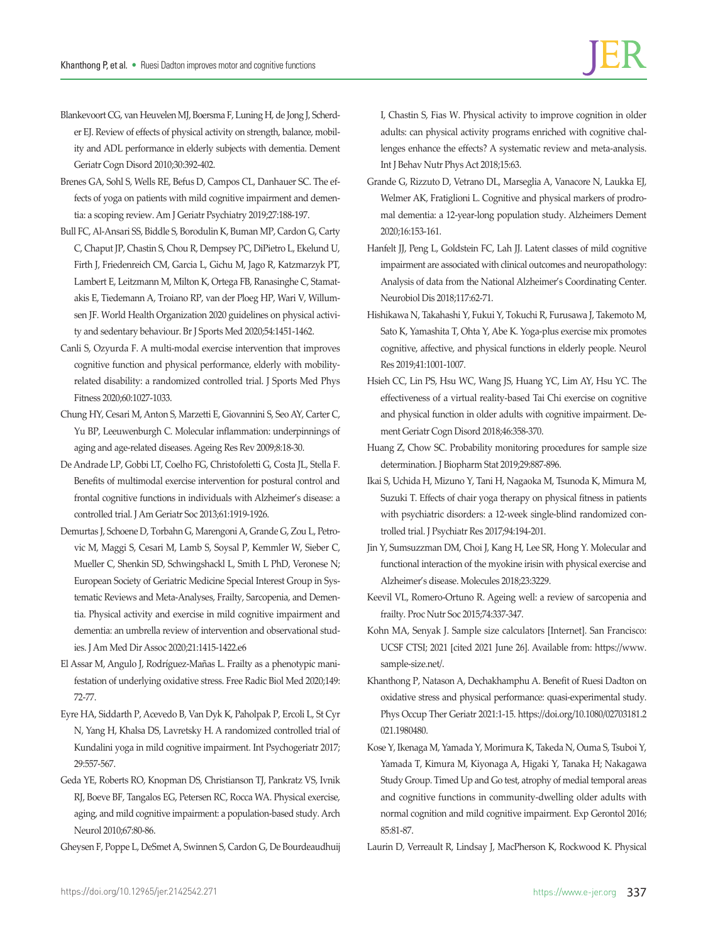- Blankevoort CG, van Heuvelen MJ, Boersma F, Luning H, de Jong J, Scherder EJ. Review of effects of physical activity on strength, balance, mobility and ADL performance in elderly subjects with dementia. Dement Geriatr Cogn Disord 2010;30:392-402.
- Brenes GA, Sohl S, Wells RE, Befus D, Campos CL, Danhauer SC. The effects of yoga on patients with mild cognitive impairment and dementia: a scoping review. Am J Geriatr Psychiatry 2019;27:188-197.
- Bull FC, Al-Ansari SS, Biddle S, Borodulin K, Buman MP, Cardon G, Carty C, Chaput JP, Chastin S, Chou R, Dempsey PC, DiPietro L, Ekelund U, Firth J, Friedenreich CM, Garcia L, Gichu M, Jago R, Katzmarzyk PT, Lambert E, Leitzmann M, Milton K, Ortega FB, Ranasinghe C, Stamatakis E, Tiedemann A, Troiano RP, van der Ploeg HP, Wari V, Willumsen JF. World Health Organization 2020 guidelines on physical activity and sedentary behaviour. Br J Sports Med 2020;54:1451-1462.
- Canli S, Ozyurda F. A multi-modal exercise intervention that improves cognitive function and physical performance, elderly with mobilityrelated disability: a randomized controlled trial. J Sports Med Phys Fitness 2020;60:1027-1033.
- Chung HY, Cesari M, Anton S, Marzetti E, Giovannini S, Seo AY, Carter C, Yu BP, Leeuwenburgh C. Molecular inflammation: underpinnings of aging and age-related diseases. Ageing Res Rev 2009;8:18-30.
- De Andrade LP, Gobbi LT, Coelho FG, Christofoletti G, Costa JL, Stella F. Benefits of multimodal exercise intervention for postural control and frontal cognitive functions in individuals with Alzheimer's disease: a controlled trial. J Am Geriatr Soc 2013;61:1919-1926.
- Demurtas J, Schoene D, Torbahn G, Marengoni A, Grande G, Zou L, Petrovic M, Maggi S, Cesari M, Lamb S, Soysal P, Kemmler W, Sieber C, Mueller C, Shenkin SD, Schwingshackl L, Smith L PhD, Veronese N; European Society of Geriatric Medicine Special Interest Group in Systematic Reviews and Meta-Analyses, Frailty, Sarcopenia, and Dementia. Physical activity and exercise in mild cognitive impairment and dementia: an umbrella review of intervention and observational studies. J Am Med Dir Assoc 2020;21:1415-1422.e6
- El Assar M, Angulo J, Rodríguez-Mañas L. Frailty as a phenotypic manifestation of underlying oxidative stress. Free Radic Biol Med 2020;149: 72-77.
- Eyre HA, Siddarth P, Acevedo B, Van Dyk K, Paholpak P, Ercoli L, St Cyr N, Yang H, Khalsa DS, Lavretsky H. A randomized controlled trial of Kundalini yoga in mild cognitive impairment. Int Psychogeriatr 2017; 29:557-567.
- Geda YE, Roberts RO, Knopman DS, Christianson TJ, Pankratz VS, Ivnik RJ, Boeve BF, Tangalos EG, Petersen RC, Rocca WA. Physical exercise, aging, and mild cognitive impairment: a population-based study. Arch Neurol 2010;67:80-86.
- Gheysen F, Poppe L, DeSmet A, Swinnen S, Cardon G, De Bourdeaudhuij

I, Chastin S, Fias W. Physical activity to improve cognition in older adults: can physical activity programs enriched with cognitive challenges enhance the effects? A systematic review and meta-analysis. Int J Behav Nutr Phys Act 2018;15:63.

- Grande G, Rizzuto D, Vetrano DL, Marseglia A, Vanacore N, Laukka EJ, Welmer AK, Fratiglioni L. Cognitive and physical markers of prodromal dementia: a 12-year-long population study. Alzheimers Dement 2020;16:153-161.
- Hanfelt JJ, Peng L, Goldstein FC, Lah JJ. Latent classes of mild cognitive impairment are associated with clinical outcomes and neuropathology: Analysis of data from the National Alzheimer's Coordinating Center. Neurobiol Dis 2018;117:62-71.
- Hishikawa N, Takahashi Y, Fukui Y, Tokuchi R, Furusawa J, Takemoto M, Sato K, Yamashita T, Ohta Y, Abe K. Yoga-plus exercise mix promotes cognitive, affective, and physical functions in elderly people. Neurol Res 2019;41:1001-1007.
- Hsieh CC, Lin PS, Hsu WC, Wang JS, Huang YC, Lim AY, Hsu YC. The effectiveness of a virtual reality-based Tai Chi exercise on cognitive and physical function in older adults with cognitive impairment. Dement Geriatr Cogn Disord 2018;46:358-370.
- Huang Z, Chow SC. Probability monitoring procedures for sample size determination. J Biopharm Stat 2019;29:887-896.
- Ikai S, Uchida H, Mizuno Y, Tani H, Nagaoka M, Tsunoda K, Mimura M, Suzuki T. Effects of chair yoga therapy on physical fitness in patients with psychiatric disorders: a 12-week single-blind randomized controlled trial. J Psychiatr Res 2017;94:194-201.
- Jin Y, Sumsuzzman DM, Choi J, Kang H, Lee SR, Hong Y. Molecular and functional interaction of the myokine irisin with physical exercise and Alzheimer's disease. Molecules 2018;23:3229.
- Keevil VL, Romero-Ortuno R. Ageing well: a review of sarcopenia and frailty. Proc Nutr Soc 2015;74:337-347.
- Kohn MA, Senyak J. Sample size calculators [Internet]. San Francisco: UCSF CTSI; 2021 [cited 2021 June 26]. Available from: [https://www.](https://www.sample-size.net/) [sample-size.net/](https://www.sample-size.net/).
- Khanthong P, Natason A, Dechakhamphu A. Benefit of Ruesi Dadton on oxidative stress and physical performance: quasi-experimental study. Phys Occup Ther Geriatr 2021:1-15. [https://doi.org/10.1080/02703181.2](https://doi.org/10.1080/02703181.2021.1980480) [021.1980480](https://doi.org/10.1080/02703181.2021.1980480).
- Kose Y, Ikenaga M, Yamada Y, Morimura K, Takeda N, Ouma S, Tsuboi Y, Yamada T, Kimura M, Kiyonaga A, Higaki Y, Tanaka H; Nakagawa Study Group. Timed Up and Go test, atrophy of medial temporal areas and cognitive functions in community-dwelling older adults with normal cognition and mild cognitive impairment. Exp Gerontol 2016; 85:81-87.
- Laurin D, Verreault R, Lindsay J, MacPherson K, Rockwood K. Physical